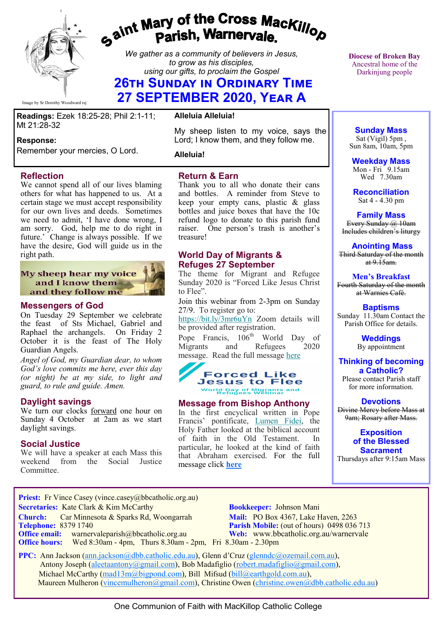

Image by Sr Dorothy Woodward rsj

# *Gaint Mary of the Cross MacKillop*<br>*Gaint* **Parish, Warnervale.**

*We gather as a community of believers in Jesus, to grow as his disciples, using our gifts, to proclaim the Gospel*

# **26th Sunday in Ordinary Time 27 SEPTEMBER 2020, Year A**

**Readings:** Ezek 18:25-28; Phil 2:1-11; Mt 21:28-32

#### **Response:**

Remember your mercies, O Lord.

#### **Reflection**

We cannot spend all of our lives blaming others for what has happened to us. At a certain stage we must accept responsibility for our own lives and deeds. Sometimes we need to admit, 'I have done wrong, I am sorry. God, help me to do right in future.' Change is always possible. If we have the desire, God will guide us in the right path.

#### My sheep hear my voice and I know them and they follow me

#### **Messengers of God**

On Tuesday 29 September we celebrate the feast of Sts Michael, Gabriel and Raphael the archangels. On Friday 2 October it is the feast of The Holy Guardian Angels.

*Angel of God, my Guardian dear, to whom God's love commits me here, ever this day (or night) be at my side, to light and guard, to rule and guide. Amen.* 

#### **Daylight savings**

We turn our clocks forward one hour on Sunday 4 October at 2am as we start daylight savings.

#### **Social Justice**

We will have a speaker at each Mass this weekend from the Social Justice Committee.

#### **Alleluia Alleluia!**

My sheep listen to my voice, says the Lord; I know them, and they follow me.

**Alleluia!**

### **Return & Earn**

Thank you to all who donate their cans and bottles. A reminder from Steve to keep your empty cans, plastic & glass bottles and juice boxes that have the 10c refund logo to donate to this parish fund raiser. One person's trash is another's treasure!

## **World Day of Migrants & Refuges 27 September**

The theme for Migrant and Refugee Sunday 2020 is "Forced Like Jesus Christ to Flee".

Join this webinar from 2-3pm on Sunday 27/9. To register go to:

[https://bit.ly/3mr6uYn](https://bbcatholic.us8.list-manage.com/track/click?u=466af249e088db70ab864d088&id=2cfb95e51c&e=e312df0f80) Zoom details will be provided after registration.

Pope Francis, 106<sup>th</sup> World Day of<br>Migrants and Refugees 2020 Migrants and Refugees message. Read the full message [here](https://bbcatholic.us8.list-manage.com/track/click?u=466af249e088db70ab864d088&id=955c8f17f9&e=e312df0f80)



#### **Message from Bishop Anthony**

In the first encyclical written in Pope Francis' pontificate, [Lumen Fidei,](https://bbcatholic.us8.list-manage.com/track/click?u=466af249e088db70ab864d088&id=8e72c032c0&e=e312df0f80) the Holy Father looked at the biblical account of faith in the Old Testament. In particular, he looked at the kind of faith that Abraham exercised. For the full message click **[here](https://bbcatholic.us8.list-manage.com/track/click?u=466af249e088db70ab864d088&id=9098807268&e=e312df0f80)** 

**Diocese of Broken Bay**  Ancestral home of the Darkinjung people

**Sunday Mass** Sat (Vigil) 5pm , Sun 8am, 10am, 5pm

**Weekday Mass** Mon - Fri  $9.15$ am Wed 7.30am

**Reconciliation** Sat 4 - 4.30 pm

**Family Mass**  Every Sunday @ 10am Includes children's liturgy

**Anointing Mass** Third Saturday of the month at  $9.15$ am.

**Men's Breakfast** Fourth Saturday of the month at Warnies Café.

**Baptisms** Sunday 11.30am Contact the Parish Office for details.

> **Weddings**  By appointment

**Thinking of becoming a Catholic?**

Please contact Parish staff for more information.

**Devotions** Divine Mercy before Mass at 9am; Rosary after Mass.

**Exposition of the Blessed Sacrament**

Thursdays after 9:15am Mass

Priest: Fr Vince Casey (vince.casey@bbcatholic.org.au) **Secretaries:** Kate Clark & Kim McCarthy **Bookkeeper:** Johnson Mani **Church:** Car Minnesota & Sparks Rd, Woongarrah **Mail:** PO Box 4367, Lake Haven, 2263<br> **Telephone:** 8379 1740 **Parish Mobile:** (out of hours) 0498 036

**Office email:** warnervaleparish@bbcatholic.org.au **Web:** [www.bbcatholic.org.au/warnervale](https://www.bbcatholic.org.au/warnervale) **Office hours:** Wed 8:30am - 4pm, Thurs 8.30am - 2pm, Fri 8.30am - 2.30pm

**Parish Mobile:** (out of hours) 0498 036 713

 **PPC:** Ann Jackson ([ann.jackson@dbb.catholic.edu.au\),](mailto:ann.jackson@dbb.catholic.edu.au) Glenn d'Cruz ([glenndc@ozemail.com.au\)](mailto:glenndc@ozemail.com.au), Antony Joseph ([aleetaantony@gmail.com\),](mailto:aleetaantony@gmail.com) Bob Madafiglio [\(robert.madafiglio@gmail.com\),](mailto:robert.madafiglio@gmail.com) Michael McCarthy ([mad13m@bigpond.com\)](mailto:mad13m@bigpond.com), Bill Mifsud ([bill@earthgold.com.au\),](mailto:bill@earthgold.com.au) Maureen Mulheron ([vincemulheron@gmail.com\)](mailto:vincemulheron@gmail.com), Christine Owen (christine.owen[@dbb.catholic.edu.au\)](mailto:ann.jackson@dbb.catholic.edu.au)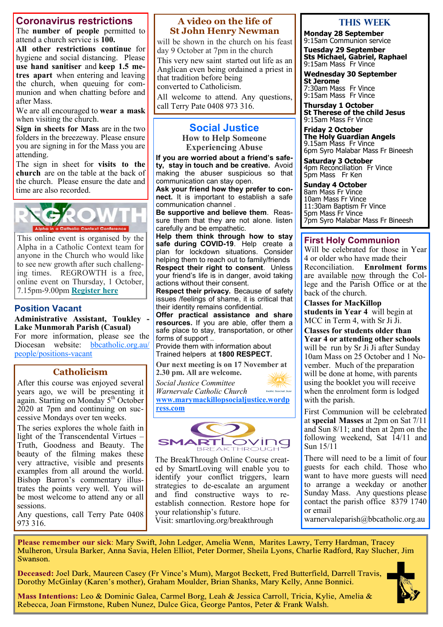# **Coronavirus restrictions**

The **number of people** permitted to attend a church service is **100.** 

**All other restrictions continue** for hygiene and social distancing. Please **use hand sanitiser** and **keep 1.5 metres apart** when entering and leaving the church, when queuing for communion and when chatting before and after Mass.

We are all encouraged to **wear a mask**  when visiting the church.

**Sign in sheets for Mass** are in the two folders in the breezeway. Please ensure you are signing in for the Mass you are attending.

The sign in sheet for **visits to the church** are on the table at the back of the church. Please ensure the date and time are also recorded.



This online event is organised by the Alpha in a Catholic Context team for anyone in the Church who would like to see new growth after such challenging times. REGROWTH is a free, online event on Thursday, 1 October, 7.15pm-9.00pm **[Register here](https://bbcatholic.us8.list-manage.com/track/click?u=466af249e088db70ab864d088&id=8b57bea4af&e=e312df0f80)**

# **Position Vacant**

**Administrative Assistant, Toukley - Lake Munmorah Parish (Casual)** For more information, please see the

Diocesan website: [bbcatholic.org.au/](https://www.bbcatholic.org.au/people/positions-vacant) [people/positions](https://www.bbcatholic.org.au/people/positions-vacant)-vacant

# **Catholicism**

After this course was enjoyed several years ago, we will be presenting it again. Starting on Monday 5<sup>th</sup> October 2020 at 7pm and continuing on successive Mondays over ten weeks.

The series explores the whole faith in light of the Transcendental Virtues – Truth, Goodness and Beauty. The beauty of the filming makes these very attractive, visible and presents examples from all around the world. Bishop Barron's commentary illustrates the points very well. You will be most welcome to attend any or all sessions.

Any questions, call Terry Pate 0408 973 316.

#### **A video on the life of St John Henry Newman**

will be shown in the church on his feast day 9 October at 7pm in the church This very new saint started out life as an Anglican even being ordained a priest in that tradition before being converted to Catholicism.

All welcome to attend. Any questions, call Terry Pate 0408 973 316.

# **Social Justice**

**How to Help Someone Experiencing Abuse**

**If you are worried about a friend's safety, stay in touch and be creative.** Avoid making the abuser suspicious so that communication can stay open.

**Ask your friend how they prefer to connect.** It is important to establish a safe communication channel .

**Be supportive and believe them**. Reassure them that they are not alone. listen carefully and be empathetic.

**Help them think through how to stay safe during COVID-19**. Help create a plan for lockdown situations. Consider helping them to reach out to family/friends **Respect their right to consent**. Unless your friend's life is in danger, avoid taking actions without their consent.

**Respect their privacy.** Because of safety issues /feelings of shame, it is critical that their identity remains confidential.

**Offer practical assistance and share resources.** If you are able, offer them a safe place to stay, transportation, or other forms of support ..

Provide them with information about Trained helpers at **1800 RESPECT.** 

**Our next meeting is on 17 November at 2.30 pm. All are welcome.**

*Social Justice Committee Warnervale Catholic Church* holic Social Just **[www.marymackillopsocialjustice.wordp](http://www.marymackillopsocialjustice.wordpress.com)**





The BreakThrough Online Course created by SmartLoving will enable you to identify your conflict triggers, learn strategies to de-escalate an argument and find constructive ways to reestablish connection. Restore hope for your relationship's future. Visit: [smartloving.org/breakthrough](https://pmrc.ontraport.com/c/s/2Q9/WeCM/s/s6G/e1/6opCQ6/vRAsnvx3D3/P/P/nV)

**This WeeK**

**Monday 28 September** 9:15am Communion service

**Tuesday 29 September Sts Michael, Gabriel, Raphael** 9:15am Mass Fr Vince

**Wednesday 30 September St Jerome**  7:30am Mass Fr Vince 9:15am Mass Fr Vince

**Thursday 1 October St Therese of the child Jesus** 9:15am Mass Fr Vince

**Friday 2 October The Holy Guardian Angels** 9.15am Mass Fr Vince 6pm Syro Malabar Mass Fr Bineesh

**Saturday 3 October** 4pm Reconciliation Fr Vince 5pm Mass Fr Ken

**Sunday 4 October** 8am Mass Fr Vince 10am Mass Fr Vince 11:30am Baptism Fr Vince 5pm Mass Fr Vince 7pm Syro Malabar Mass Fr Bineesh

#### **First Holy Communion**

Will be celebrated for those in Year 4 or older who have made their Reconciliation. **Enrolment forms** are available now through the College and the Parish Office or at the back of the church.

**Classes for MacKillop students in Year 4** will begin at MCC in Term 4, with Sr Ji Ji.

**Classes for students older than Year 4 or attending other schools**  will be run by Sr Ji Ji after Sunday 10am Mass on 25 October and 1 November. Much of the preparation will be done at home, with parents using the booklet you will receive when the enrolment form is lodged with the parish.

First Communion will be celebrated at **special Masses** at 2pm on Sat 7/11 and Sun 8/11; and then at 2pm on the following weekend, Sat  $\hat{14}/11$  and Sun 15/11

There will need to be a limit of four guests for each child. Those who want to have more guests will need to arrange a weekday or another Sunday Mass. Any questions please contact the parish office 8379 1740 or email

warnervaleparish@bbcatholic.org.au

Please remember our sick: Mary Swift, John Ledger, Amelia Wenn, Marites Lawry, Terry Hardman, Tracey Mulheron, Ursula Barker, Anna Savia, Helen Elliot, Peter Dormer, Sheila Lyons, Charlie Radford, Ray Slucher, Jim Swanson.

Deceased: Joel Dark, Maureen Casey (Fr Vince's Mum), Margot Beckett, Fred Butterfield, Darrell Travis, Dorothy McGinlay (Karen's mother), Graham Moulder, Brian Shanks, Mary Kelly, Anne Bonnici.



Mass Intentions: Leo & Dominic Galea, Carmel Borg, Leah & Jessica Carroll, Tricia, Kylie, Amelia & Rebecca, Joan Firmstone, Ruben Nunez, Dulce Gica, George Pantos, Peter & Frank Walsh.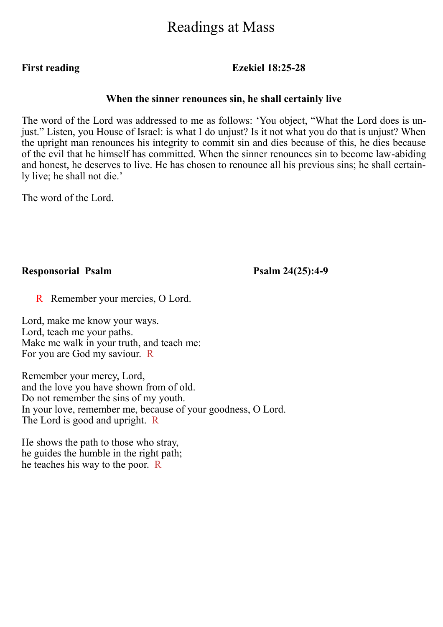# Readings at Mass

**First reading Ezekiel 18:25-28**

# **When the sinner renounces sin, he shall certainly live**

The word of the Lord was addressed to me as follows: 'You object, "What the Lord does is unjust." Listen, you House of Israel: is what I do unjust? Is it not what you do that is unjust? When the upright man renounces his integrity to commit sin and dies because of this, he dies because of the evil that he himself has committed. When the sinner renounces sin to become law-abiding and honest, he deserves to live. He has chosen to renounce all his previous sins; he shall certainly live; he shall not die.'

The word of the Lord.

# **Responsorial Psalm Psalm 24(25):4-9**

R Remember your mercies, O Lord.

Lord, make me know your ways. Lord, teach me your paths. Make me walk in your truth, and teach me: For you are God my saviour. R

Remember your mercy, Lord, and the love you have shown from of old. Do not remember the sins of my youth. In your love, remember me, because of your goodness, O Lord. The Lord is good and upright. R

He shows the path to those who stray, he guides the humble in the right path; he teaches his way to the poor. R